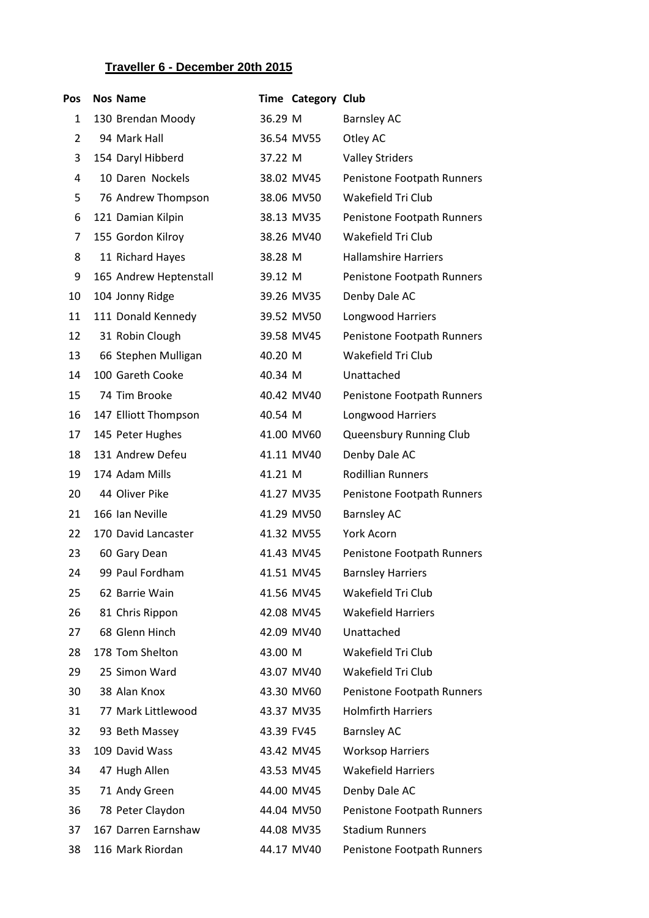## **Traveller 6 - December 20th 2015**

| Pos            | <b>Nos Name</b>        |            | <b>Time Category Club</b> |                             |
|----------------|------------------------|------------|---------------------------|-----------------------------|
| 1              | 130 Brendan Moody      | 36.29 M    |                           | <b>Barnsley AC</b>          |
| $\overline{2}$ | 94 Mark Hall           |            | 36.54 MV55                | Otley AC                    |
| 3              | 154 Daryl Hibberd      | 37.22 M    |                           | <b>Valley Striders</b>      |
| 4              | 10 Daren Nockels       |            | 38.02 MV45                | Penistone Footpath Runners  |
| 5              | 76 Andrew Thompson     |            | 38.06 MV50                | Wakefield Tri Club          |
| 6              | 121 Damian Kilpin      |            | 38.13 MV35                | Penistone Footpath Runners  |
| 7              | 155 Gordon Kilroy      |            | 38.26 MV40                | Wakefield Tri Club          |
| 8              | 11 Richard Hayes       | 38.28 M    |                           | <b>Hallamshire Harriers</b> |
| 9              | 165 Andrew Heptenstall | 39.12 M    |                           | Penistone Footpath Runners  |
| 10             | 104 Jonny Ridge        |            | 39.26 MV35                | Denby Dale AC               |
| 11             | 111 Donald Kennedy     |            | 39.52 MV50                | Longwood Harriers           |
| 12             | 31 Robin Clough        |            | 39.58 MV45                | Penistone Footpath Runners  |
| 13             | 66 Stephen Mulligan    | 40.20 M    |                           | Wakefield Tri Club          |
| 14             | 100 Gareth Cooke       | 40.34 M    |                           | Unattached                  |
| 15             | 74 Tim Brooke          |            | 40.42 MV40                | Penistone Footpath Runners  |
| 16             | 147 Elliott Thompson   | 40.54 M    |                           | Longwood Harriers           |
| 17             | 145 Peter Hughes       |            | 41.00 MV60                | Queensbury Running Club     |
| 18             | 131 Andrew Defeu       |            | 41.11 MV40                | Denby Dale AC               |
| 19             | 174 Adam Mills         | 41.21 M    |                           | <b>Rodillian Runners</b>    |
| 20             | 44 Oliver Pike         |            | 41.27 MV35                | Penistone Footpath Runners  |
| 21             | 166 Ian Neville        |            | 41.29 MV50                | <b>Barnsley AC</b>          |
| 22             | 170 David Lancaster    |            | 41.32 MV55                | York Acorn                  |
| 23             | 60 Gary Dean           |            | 41.43 MV45                | Penistone Footpath Runners  |
| 24             | 99 Paul Fordham        |            | 41.51 MV45                | <b>Barnsley Harriers</b>    |
| 25             | 62 Barrie Wain         |            | 41.56 MV45                | Wakefield Tri Club          |
| 26             | 81 Chris Rippon        |            | 42.08 MV45                | <b>Wakefield Harriers</b>   |
| 27             | 68 Glenn Hinch         |            | 42.09 MV40                | Unattached                  |
| 28             | 178 Tom Shelton        | 43.00 M    |                           | Wakefield Tri Club          |
| 29             | 25 Simon Ward          |            | 43.07 MV40                | Wakefield Tri Club          |
| 30             | 38 Alan Knox           |            | 43.30 MV60                | Penistone Footpath Runners  |
| 31             | 77 Mark Littlewood     |            | 43.37 MV35                | <b>Holmfirth Harriers</b>   |
| 32             | 93 Beth Massey         | 43.39 FV45 |                           | <b>Barnsley AC</b>          |
| 33             | 109 David Wass         |            | 43.42 MV45                | <b>Worksop Harriers</b>     |
| 34             | 47 Hugh Allen          |            | 43.53 MV45                | <b>Wakefield Harriers</b>   |
| 35             | 71 Andy Green          |            | 44.00 MV45                | Denby Dale AC               |
| 36             | 78 Peter Claydon       |            | 44.04 MV50                | Penistone Footpath Runners  |
| 37             | 167 Darren Earnshaw    |            | 44.08 MV35                | <b>Stadium Runners</b>      |
| 38             | 116 Mark Riordan       |            | 44.17 MV40                | Penistone Footpath Runners  |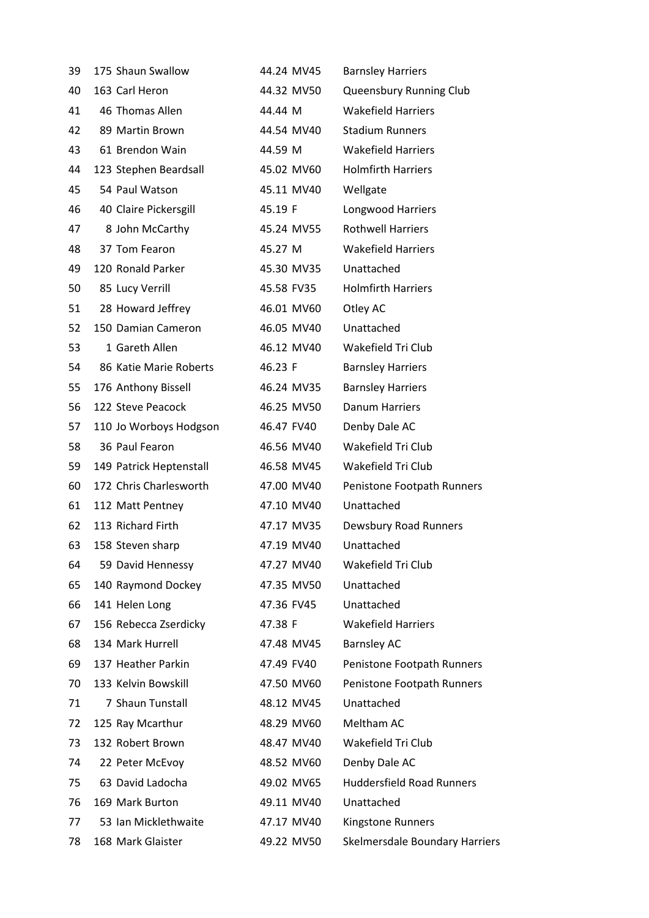| 39 | 175 Shaun Swallow       | 44.24 MV45 | <b>Barnsley Harriers</b>         |
|----|-------------------------|------------|----------------------------------|
| 40 | 163 Carl Heron          | 44.32 MV50 | Queensbury Running Club          |
| 41 | 46 Thomas Allen         | 44.44 M    | <b>Wakefield Harriers</b>        |
| 42 | 89 Martin Brown         | 44.54 MV40 | <b>Stadium Runners</b>           |
| 43 | 61 Brendon Wain         | 44.59 M    | <b>Wakefield Harriers</b>        |
| 44 | 123 Stephen Beardsall   | 45.02 MV60 | <b>Holmfirth Harriers</b>        |
| 45 | 54 Paul Watson          | 45.11 MV40 | Wellgate                         |
| 46 | 40 Claire Pickersgill   | 45.19 F    | Longwood Harriers                |
| 47 | 8 John McCarthy         | 45.24 MV55 | <b>Rothwell Harriers</b>         |
| 48 | 37 Tom Fearon           | 45.27 M    | <b>Wakefield Harriers</b>        |
| 49 | 120 Ronald Parker       | 45.30 MV35 | Unattached                       |
| 50 | 85 Lucy Verrill         | 45.58 FV35 | <b>Holmfirth Harriers</b>        |
| 51 | 28 Howard Jeffrey       | 46.01 MV60 | Otley AC                         |
| 52 | 150 Damian Cameron      | 46.05 MV40 | Unattached                       |
| 53 | 1 Gareth Allen          | 46.12 MV40 | Wakefield Tri Club               |
| 54 | 86 Katie Marie Roberts  | 46.23 F    | <b>Barnsley Harriers</b>         |
| 55 | 176 Anthony Bissell     | 46.24 MV35 | <b>Barnsley Harriers</b>         |
| 56 | 122 Steve Peacock       | 46.25 MV50 | <b>Danum Harriers</b>            |
| 57 | 110 Jo Worboys Hodgson  | 46.47 FV40 | Denby Dale AC                    |
| 58 | 36 Paul Fearon          | 46.56 MV40 | Wakefield Tri Club               |
| 59 | 149 Patrick Heptenstall | 46.58 MV45 | Wakefield Tri Club               |
| 60 | 172 Chris Charlesworth  | 47.00 MV40 | Penistone Footpath Runners       |
| 61 | 112 Matt Pentney        | 47.10 MV40 | Unattached                       |
| 62 | 113 Richard Firth       | 47.17 MV35 | Dewsbury Road Runners            |
| 63 | 158 Steven sharp        | 47.19 MV40 | Unattached                       |
| 64 | 59 David Hennessy       | 47.27 MV40 | Wakefield Tri Club               |
| 65 | 140 Raymond Dockey      | 47.35 MV50 | Unattached                       |
| 66 | 141 Helen Long          | 47.36 FV45 | Unattached                       |
| 67 | 156 Rebecca Zserdicky   | 47.38 F    | <b>Wakefield Harriers</b>        |
| 68 | 134 Mark Hurrell        | 47.48 MV45 | <b>Barnsley AC</b>               |
| 69 | 137 Heather Parkin      | 47.49 FV40 | Penistone Footpath Runners       |
| 70 | 133 Kelvin Bowskill     | 47.50 MV60 | Penistone Footpath Runners       |
| 71 | 7 Shaun Tunstall        | 48.12 MV45 | Unattached                       |
| 72 | 125 Ray Mcarthur        | 48.29 MV60 | Meltham AC                       |
| 73 | 132 Robert Brown        | 48.47 MV40 | Wakefield Tri Club               |
| 74 | 22 Peter McEvoy         | 48.52 MV60 | Denby Dale AC                    |
| 75 | 63 David Ladocha        | 49.02 MV65 | <b>Huddersfield Road Runners</b> |
| 76 | 169 Mark Burton         | 49.11 MV40 | Unattached                       |
| 77 | 53 Ian Micklethwaite    | 47.17 MV40 | Kingstone Runners                |
| 78 | 168 Mark Glaister       | 49.22 MV50 | Skelmersdale Boundary Harriers   |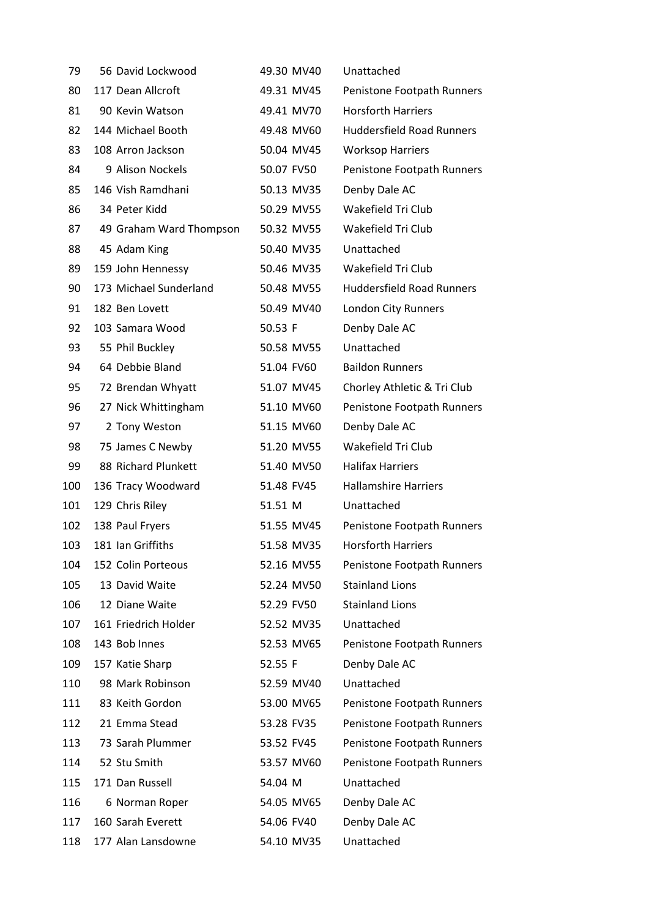| 79  | 56 David Lockwood       | 49.30 MV40 | Unattached                       |
|-----|-------------------------|------------|----------------------------------|
| 80  | 117 Dean Allcroft       | 49.31 MV45 | Penistone Footpath Runners       |
| 81  | 90 Kevin Watson         | 49.41 MV70 | <b>Horsforth Harriers</b>        |
| 82  | 144 Michael Booth       | 49.48 MV60 | <b>Huddersfield Road Runners</b> |
| 83  | 108 Arron Jackson       | 50.04 MV45 | <b>Worksop Harriers</b>          |
| 84  | 9 Alison Nockels        | 50.07 FV50 | Penistone Footpath Runners       |
| 85  | 146 Vish Ramdhani       | 50.13 MV35 | Denby Dale AC                    |
| 86  | 34 Peter Kidd           | 50.29 MV55 | Wakefield Tri Club               |
| 87  | 49 Graham Ward Thompson | 50.32 MV55 | Wakefield Tri Club               |
| 88  | 45 Adam King            | 50.40 MV35 | Unattached                       |
| 89  | 159 John Hennessy       | 50.46 MV35 | Wakefield Tri Club               |
| 90  | 173 Michael Sunderland  | 50.48 MV55 | <b>Huddersfield Road Runners</b> |
| 91  | 182 Ben Lovett          | 50.49 MV40 | London City Runners              |
| 92  | 103 Samara Wood         | 50.53 F    | Denby Dale AC                    |
| 93  | 55 Phil Buckley         | 50.58 MV55 | Unattached                       |
| 94  | 64 Debbie Bland         | 51.04 FV60 | <b>Baildon Runners</b>           |
| 95  | 72 Brendan Whyatt       | 51.07 MV45 | Chorley Athletic & Tri Club      |
| 96  | 27 Nick Whittingham     | 51.10 MV60 | Penistone Footpath Runners       |
| 97  | 2 Tony Weston           | 51.15 MV60 | Denby Dale AC                    |
| 98  | 75 James C Newby        | 51.20 MV55 | Wakefield Tri Club               |
| 99  | 88 Richard Plunkett     | 51.40 MV50 | <b>Halifax Harriers</b>          |
| 100 | 136 Tracy Woodward      | 51.48 FV45 | <b>Hallamshire Harriers</b>      |
| 101 | 129 Chris Riley         | 51.51 M    | Unattached                       |
| 102 | 138 Paul Fryers         | 51.55 MV45 | Penistone Footpath Runners       |
| 103 | 181 Ian Griffiths       | 51.58 MV35 | <b>Horsforth Harriers</b>        |
| 104 | 152 Colin Porteous      | 52.16 MV55 | Penistone Footpath Runners       |
| 105 | 13 David Waite          | 52.24 MV50 | <b>Stainland Lions</b>           |
| 106 | 12 Diane Waite          | 52.29 FV50 | <b>Stainland Lions</b>           |
| 107 | 161 Friedrich Holder    | 52.52 MV35 | Unattached                       |
| 108 | 143 Bob Innes           | 52.53 MV65 | Penistone Footpath Runners       |
| 109 | 157 Katie Sharp         | 52.55 F    | Denby Dale AC                    |
| 110 | 98 Mark Robinson        | 52.59 MV40 | Unattached                       |
| 111 | 83 Keith Gordon         | 53.00 MV65 | Penistone Footpath Runners       |
| 112 | 21 Emma Stead           | 53.28 FV35 | Penistone Footpath Runners       |
| 113 | 73 Sarah Plummer        | 53.52 FV45 | Penistone Footpath Runners       |
| 114 | 52 Stu Smith            | 53.57 MV60 | Penistone Footpath Runners       |
| 115 | 171 Dan Russell         | 54.04 M    | Unattached                       |
| 116 | 6 Norman Roper          | 54.05 MV65 | Denby Dale AC                    |
| 117 | 160 Sarah Everett       | 54.06 FV40 | Denby Dale AC                    |
| 118 | 177 Alan Lansdowne      | 54.10 MV35 | Unattached                       |